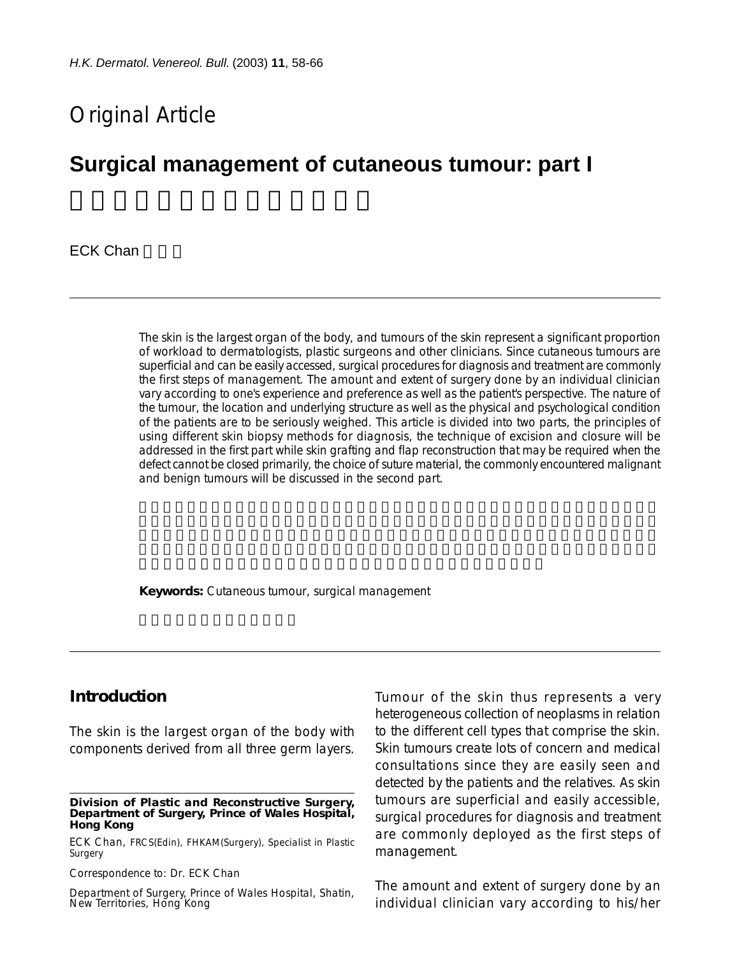# Original Article

# **Surgical management of cutaneous tumour: part I**

**ECK Chan** 

The skin is the largest organ of the body, and tumours of the skin represent a significant proportion of workload to dermatologists, plastic surgeons and other clinicians. Since cutaneous tumours are superficial and can be easily accessed, surgical procedures for diagnosis and treatment are commonly the first steps of management. The amount and extent of surgery done by an individual clinician vary according to one's experience and preference as well as the patient's perspective. The nature of the tumour, the location and underlying structure as well as the physical and psychological condition of the patients are to be seriously weighed. This article is divided into two parts, the principles of using different skin biopsy methods for diagnosis, the technique of excision and closure will be addressed in the first part while skin grafting and flap reconstruction that may be required when the defect cannot be closed primarily, the choice of suture material, the commonly encountered malignant and benign tumours will be discussed in the second part.

**Keywords:** Cutaneous tumour, surgical management

#### **Introduction**

The skin is the largest organ of the body with components derived from all three germ layers.

#### **Division of Plastic and Reconstructive Surgery, Department of Surgery, Prince of Wales Hospital, Hong Kong**

ECK Chan, FRCS(Edin), FHKAM(Surgery), Specialist in Plastic Surgery

Correspondence to: Dr. ECK Chan

Department of Surgery, Prince of Wales Hospital, Shatin, New Territories, Hong Kong

Tumour of the skin thus represents a very heterogeneous collection of neoplasms in relation to the different cell types that comprise the skin. Skin tumours create lots of concern and medical consultations since they are easily seen and detected by the patients and the relatives. As skin tumours are superficial and easily accessible, surgical procedures for diagnosis and treatment are commonly deployed as the first steps of management.

The amount and extent of surgery done by an individual clinician vary according to his/her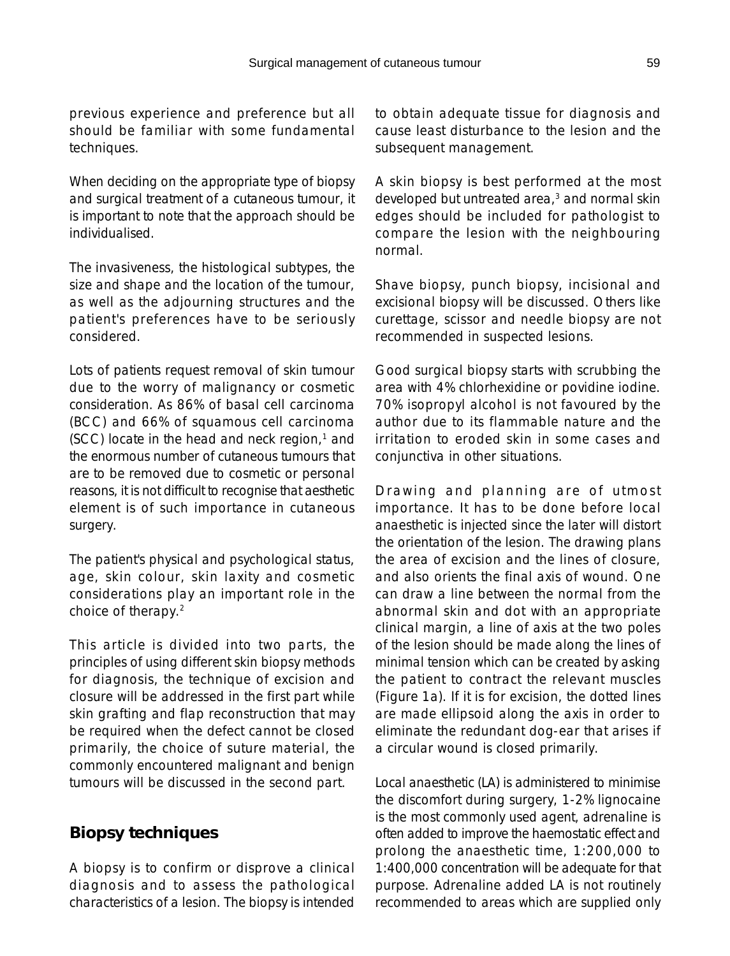previous experience and preference but all should be familiar with some fundamental techniques.

When deciding on the appropriate type of biopsy and surgical treatment of a cutaneous tumour, it is important to note that the approach should be individualised.

The invasiveness, the histological subtypes, the size and shape and the location of the tumour, as well as the adjourning structures and the patient's preferences have to be seriously considered.

Lots of patients request removal of skin tumour due to the worry of malignancy or cosmetic consideration. As 86% of basal cell carcinoma (BCC) and 66% of squamous cell carcinoma  $(SCC)$  locate in the head and neck region, $1$  and the enormous number of cutaneous tumours that are to be removed due to cosmetic or personal reasons, it is not difficult to recognise that aesthetic element is of such importance in cutaneous surgery.

The patient's physical and psychological status, age, skin colour, skin laxity and cosmetic considerations play an important role in the choice of therapy.2

This article is divided into two parts, the principles of using different skin biopsy methods for diagnosis, the technique of excision and closure will be addressed in the first part while skin grafting and flap reconstruction that may be required when the defect cannot be closed primarily, the choice of suture material, the commonly encountered malignant and benign tumours will be discussed in the second part.

### **Biopsy techniques**

A biopsy is to confirm or disprove a clinical diagnosis and to assess the pathological characteristics of a lesion. The biopsy is intended

to obtain adequate tissue for diagnosis and cause least disturbance to the lesion and the subsequent management.

A skin biopsy is best performed at the most developed but untreated area,<sup>3</sup> and normal skin edges should be included for pathologist to compare the lesion with the neighbouring normal.

Shave biopsy, punch biopsy, incisional and excisional biopsy will be discussed. Others like curettage, scissor and needle biopsy are not recommended in suspected lesions.

Good surgical biopsy starts with scrubbing the area with 4% chlorhexidine or povidine iodine. 70% isopropyl alcohol is not favoured by the author due to its flammable nature and the irritation to eroded skin in some cases and conjunctiva in other situations.

Drawing and planning are of utmost importance. It has to be done before local anaesthetic is injected since the later will distort the orientation of the lesion. The drawing plans the area of excision and the lines of closure, and also orients the final axis of wound. One can draw a line between the normal from the abnormal skin and dot with an appropriate clinical margin, a line of axis at the two poles of the lesion should be made along the lines of minimal tension which can be created by asking the patient to contract the relevant muscles (Figure 1a). If it is for excision, the dotted lines are made ellipsoid along the axis in order to eliminate the redundant dog-ear that arises if a circular wound is closed primarily.

Local anaesthetic (LA) is administered to minimise the discomfort during surgery, 1-2% lignocaine is the most commonly used agent, adrenaline is often added to improve the haemostatic effect and prolong the anaesthetic time, 1:200,000 to 1:400,000 concentration will be adequate for that purpose. Adrenaline added LA is not routinely recommended to areas which are supplied only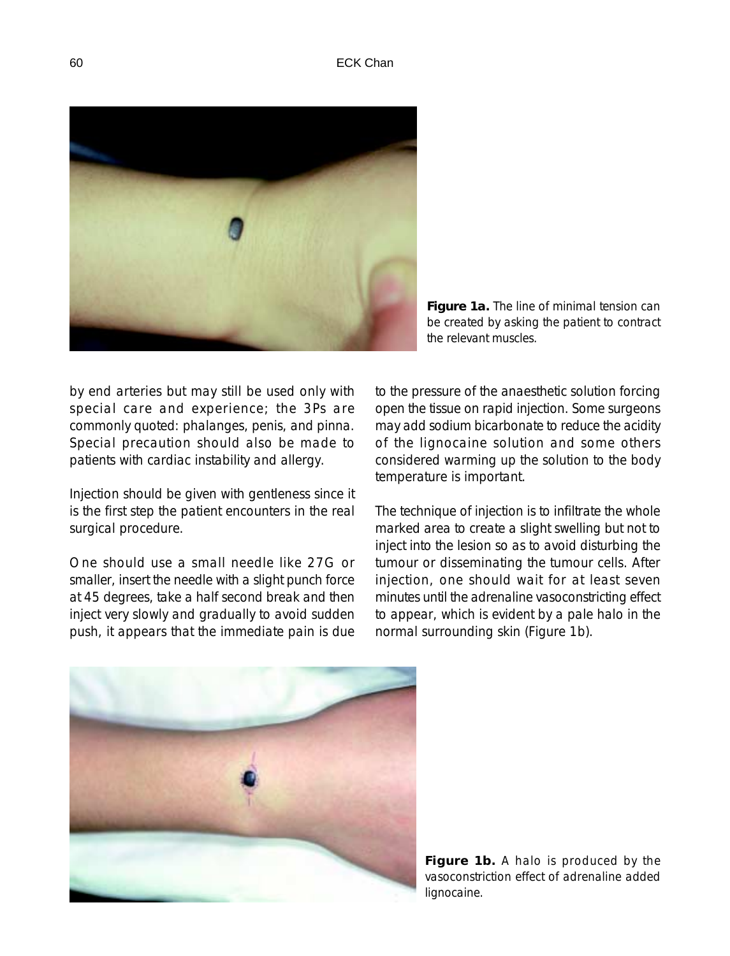

**Figure 1a.** The line of minimal tension can be created by asking the patient to contract the relevant muscles.

by end arteries but may still be used only with special care and experience; the 3Ps are commonly quoted: phalanges, penis, and pinna. Special precaution should also be made to patients with cardiac instability and allergy.

Injection should be given with gentleness since it is the first step the patient encounters in the real surgical procedure.

One should use a small needle like 27G or smaller, insert the needle with a slight punch force at 45 degrees, take a half second break and then inject very slowly and gradually to avoid sudden push, it appears that the immediate pain is due to the pressure of the anaesthetic solution forcing open the tissue on rapid injection. Some surgeons may add sodium bicarbonate to reduce the acidity of the lignocaine solution and some others considered warming up the solution to the body temperature is important.

The technique of injection is to infiltrate the whole marked area to create a slight swelling but not to inject into the lesion so as to avoid disturbing the tumour or disseminating the tumour cells. After injection, one should wait for at least seven minutes until the adrenaline vasoconstricting effect to appear, which is evident by a pale halo in the normal surrounding skin (Figure 1b).



**Figure 1b.** A halo is produced by the vasoconstriction effect of adrenaline added lignocaine.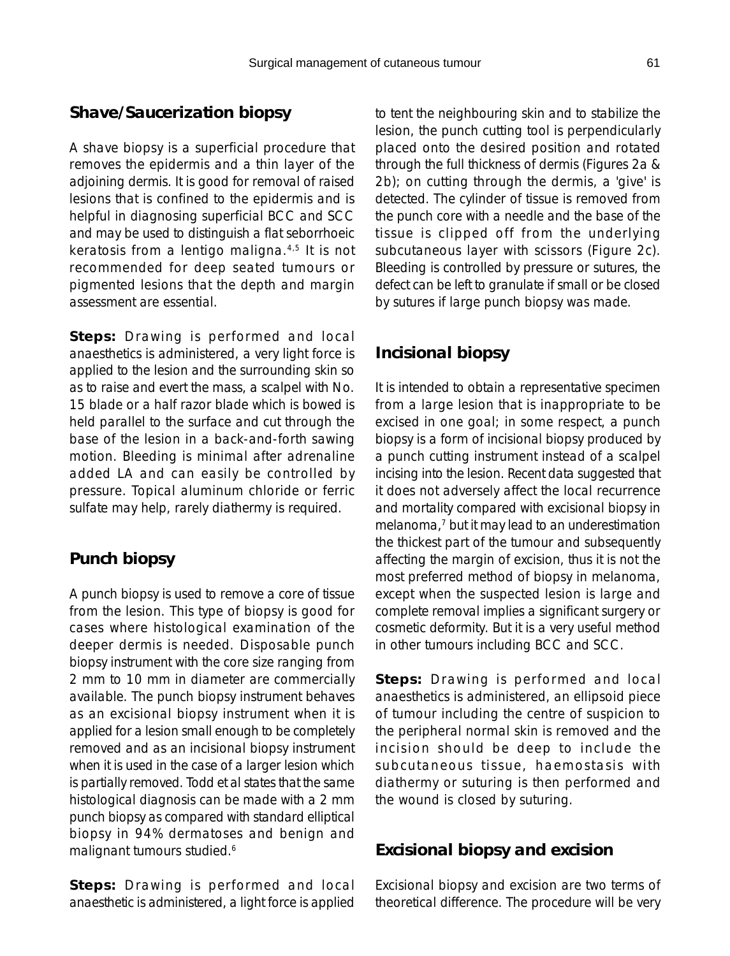### **Shave/Saucerization biopsy**

A shave biopsy is a superficial procedure that removes the epidermis and a thin layer of the adjoining dermis. It is good for removal of raised lesions that is confined to the epidermis and is helpful in diagnosing superficial BCC and SCC and may be used to distinguish a flat seborrhoeic keratosis from a lentigo maligna.4,5 It is not recommended for deep seated tumours or pigmented lesions that the depth and margin assessment are essential.

*Steps:* Drawing is performed and local anaesthetics is administered, a very light force is applied to the lesion and the surrounding skin so as to raise and evert the mass, a scalpel with No. 15 blade or a half razor blade which is bowed is held parallel to the surface and cut through the base of the lesion in a back-and-forth sawing motion. Bleeding is minimal after adrenaline added LA and can easily be controlled by pressure. Topical aluminum chloride or ferric sulfate may help, rarely diathermy is required.

### **Punch biopsy**

A punch biopsy is used to remove a core of tissue from the lesion. This type of biopsy is good for cases where histological examination of the deeper dermis is needed. Disposable punch biopsy instrument with the core size ranging from 2 mm to 10 mm in diameter are commercially available. The punch biopsy instrument behaves as an excisional biopsy instrument when it is applied for a lesion small enough to be completely removed and as an incisional biopsy instrument when it is used in the case of a larger lesion which is partially removed. Todd et al states that the same histological diagnosis can be made with a 2 mm punch biopsy as compared with standard elliptical biopsy in 94% dermatoses and benign and malignant tumours studied.<sup>6</sup>

*Steps:* Drawing is performed and local anaesthetic is administered, a light force is applied

to tent the neighbouring skin and to stabilize the lesion, the punch cutting tool is perpendicularly placed onto the desired position and rotated through the full thickness of dermis (Figures 2a & 2b); on cutting through the dermis, a 'give' is detected. The cylinder of tissue is removed from the punch core with a needle and the base of the tissue is clipped off from the underlying subcutaneous layer with scissors (Figure 2c). Bleeding is controlled by pressure or sutures, the defect can be left to granulate if small or be closed by sutures if large punch biopsy was made.

## **Incisional biopsy**

It is intended to obtain a representative specimen from a large lesion that is inappropriate to be excised in one goal; in some respect, a punch biopsy is a form of incisional biopsy produced by a punch cutting instrument instead of a scalpel incising into the lesion. Recent data suggested that it does not adversely affect the local recurrence and mortality compared with excisional biopsy in melanoma,<sup>7</sup> but it may lead to an underestimation the thickest part of the tumour and subsequently affecting the margin of excision, thus it is not the most preferred method of biopsy in melanoma, except when the suspected lesion is large and complete removal implies a significant surgery or cosmetic deformity. But it is a very useful method in other tumours including BCC and SCC.

*Steps:* Drawing is performed and local anaesthetics is administered, an ellipsoid piece of tumour including the centre of suspicion to the peripheral normal skin is removed and the incision should be deep to include the subcutaneous tissue, haemostasis with diathermy or suturing is then performed and the wound is closed by suturing.

### **Excisional biopsy and excision**

Excisional biopsy and excision are two terms of theoretical difference. The procedure will be very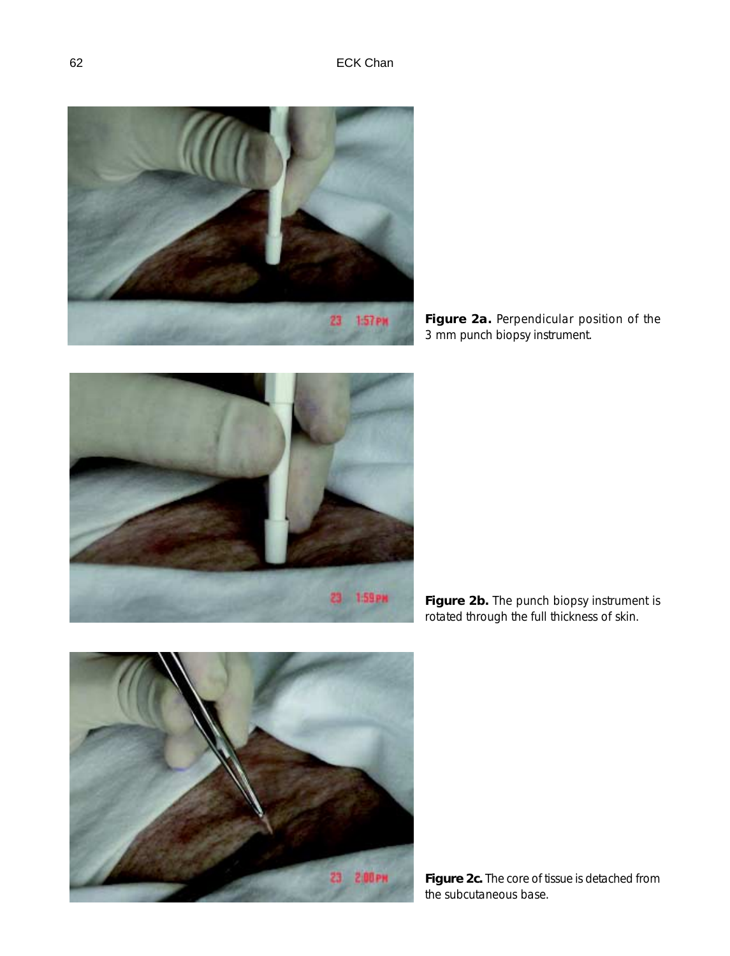

**Figure 2a.** Perpendicular position of the 3 mm punch biopsy instrument.



**Figure 2b.** The punch biopsy instrument is rotated through the full thickness of skin.



**Figure 2c.** The core of tissue is detached from the subcutaneous base.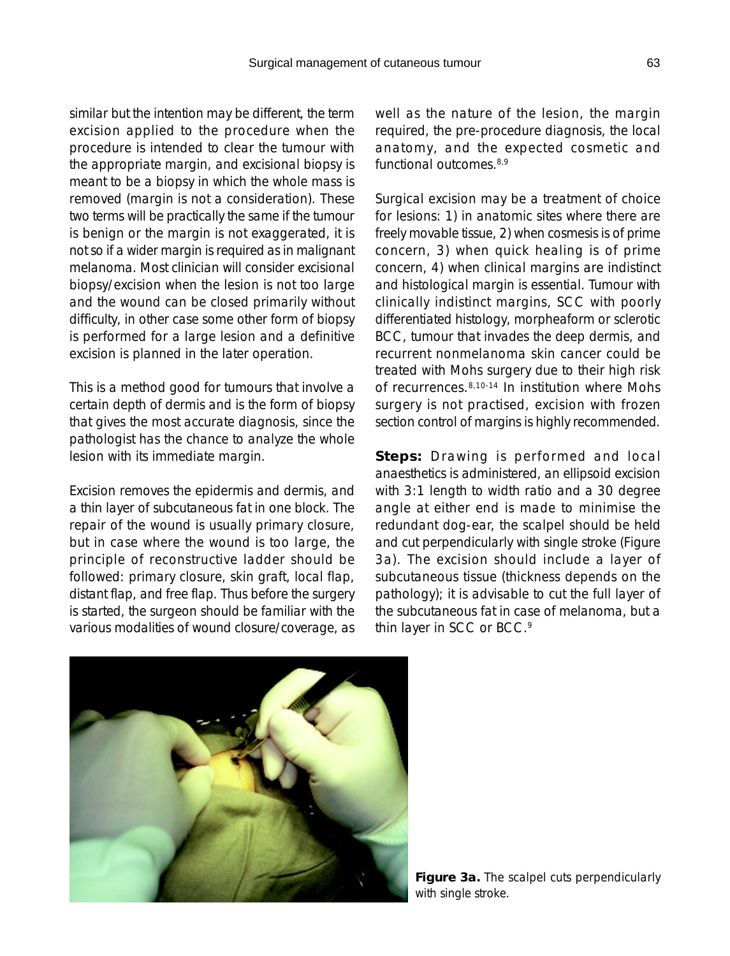similar but the intention may be different, the term excision applied to the procedure when the procedure is intended to clear the tumour with the appropriate margin, and excisional biopsy is meant to be a biopsy in which the whole mass is removed (margin is not a consideration). These two terms will be practically the same if the tumour is benign or the margin is not exaggerated, it is not so if a wider margin is required as in malignant melanoma. Most clinician will consider excisional biopsy/excision when the lesion is not too large and the wound can be closed primarily without difficulty, in other case some other form of biopsy is performed for a large lesion and a definitive excision is planned in the later operation.

This is a method good for tumours that involve a certain depth of dermis and is the form of biopsy that gives the most accurate diagnosis, since the pathologist has the chance to analyze the whole lesion with its immediate margin.

Excision removes the epidermis and dermis, and a thin layer of subcutaneous fat in one block. The repair of the wound is usually primary closure, but in case where the wound is too large, the principle of reconstructive ladder should be followed: primary closure, skin graft, local flap, distant flap, and free flap. Thus before the surgery is started, the surgeon should be familiar with the various modalities of wound closure/coverage, as

well as the nature of the lesion, the margin required, the pre-procedure diagnosis, the local anatomy, and the expected cosmetic and functional outcomes.8,9

Surgical excision may be a treatment of choice for lesions: 1) in anatomic sites where there are freely movable tissue, 2) when cosmesis is of prime concern, 3) when quick healing is of prime concern, 4) when clinical margins are indistinct and histological margin is essential. Tumour with clinically indistinct margins, SCC with poorly differentiated histology, morpheaform or sclerotic BCC, tumour that invades the deep dermis, and recurrent nonmelanoma skin cancer could be treated with Mohs surgery due to their high risk of recurrences.8,10-14 In institution where Mohs surgery is not practised, excision with frozen section control of margins is highly recommended.

*Steps:* Drawing is performed and local anaesthetics is administered, an ellipsoid excision with 3:1 length to width ratio and a 30 degree angle at either end is made to minimise the redundant dog-ear, the scalpel should be held and cut perpendicularly with single stroke (Figure 3a). The excision should include a layer of subcutaneous tissue (thickness depends on the pathology); it is advisable to cut the full layer of the subcutaneous fat in case of melanoma, but a thin layer in SCC or BCC.<sup>9</sup>

**Figure 3a.** The scalpel cuts perpendicularly with single stroke.

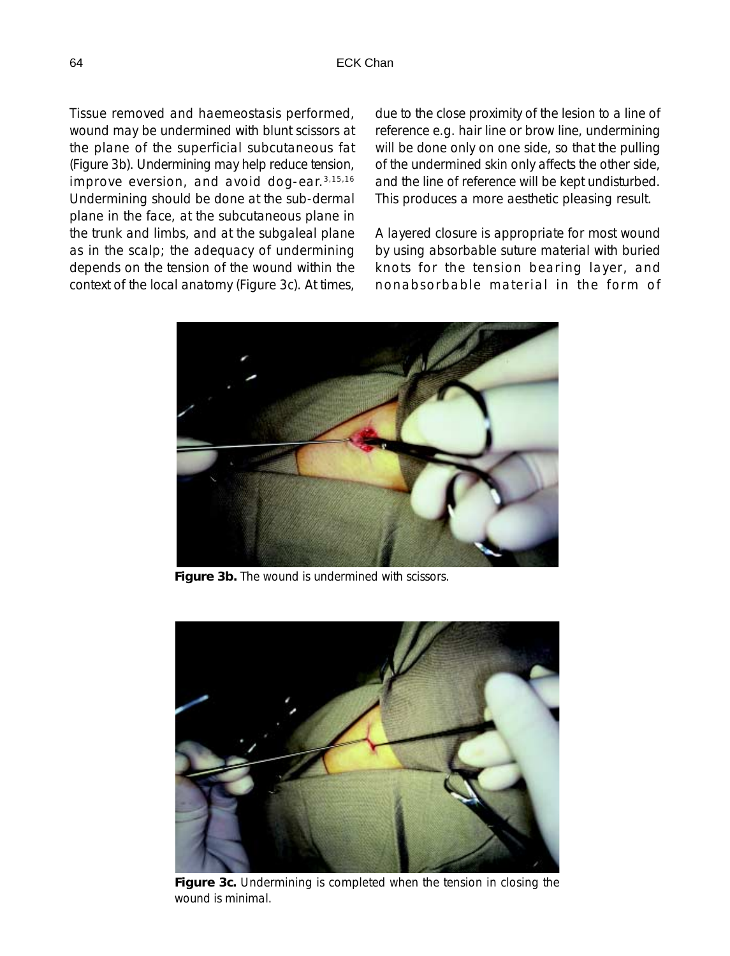Tissue removed and haemeostasis performed, wound may be undermined with blunt scissors at the plane of the superficial subcutaneous fat (Figure 3b). Undermining may help reduce tension, improve eversion, and avoid dog-ear.3,15,16 Undermining should be done at the sub-dermal plane in the face, at the subcutaneous plane in the trunk and limbs, and at the subgaleal plane as in the scalp; the adequacy of undermining depends on the tension of the wound within the context of the local anatomy (Figure 3c). At times,

due to the close proximity of the lesion to a line of reference e.g. hair line or brow line, undermining will be done only on one side, so that the pulling of the undermined skin only affects the other side, and the line of reference will be kept undisturbed. This produces a more aesthetic pleasing result.

A layered closure is appropriate for most wound by using absorbable suture material with buried knots for the tension bearing layer, and nonabsorbable material in the form of



**Figure 3b.** The wound is undermined with scissors.



**Figure 3c.** Undermining is completed when the tension in closing the wound is minimal.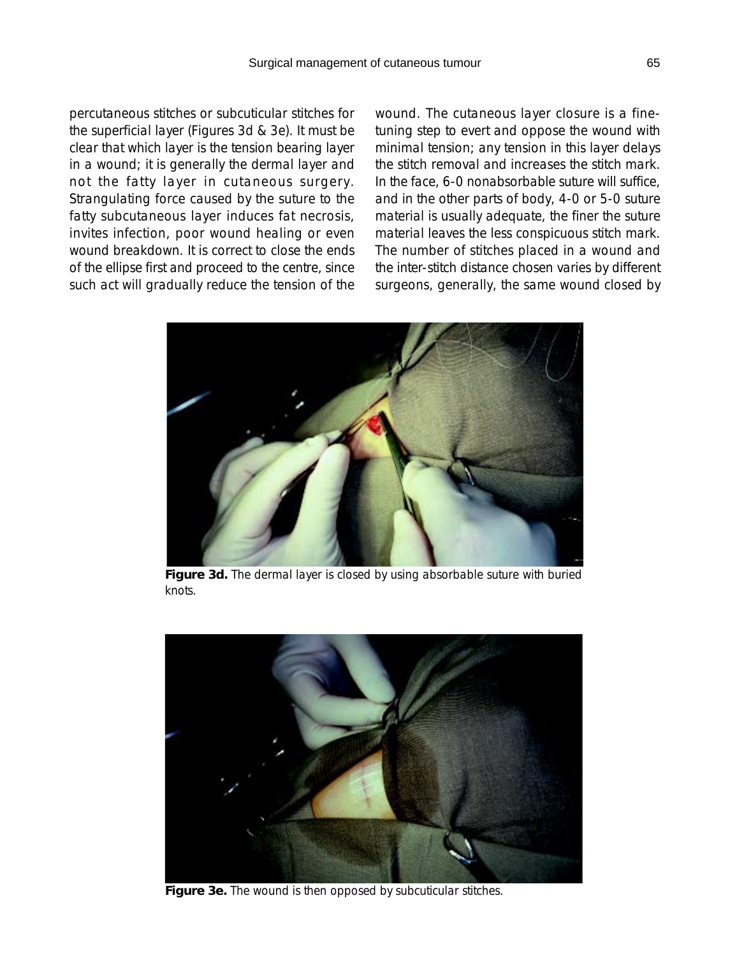percutaneous stitches or subcuticular stitches for the superficial layer (Figures 3d & 3e). It must be clear that which layer is the tension bearing layer in a wound; it is generally the dermal layer and not the fatty layer in cutaneous surgery. Strangulating force caused by the suture to the fatty subcutaneous layer induces fat necrosis, invites infection, poor wound healing or even wound breakdown. It is correct to close the ends of the ellipse first and proceed to the centre, since such act will gradually reduce the tension of the wound. The cutaneous layer closure is a finetuning step to evert and oppose the wound with minimal tension; any tension in this layer delays the stitch removal and increases the stitch mark. In the face, 6-0 nonabsorbable suture will suffice, and in the other parts of body, 4-0 or 5-0 suture material is usually adequate, the finer the suture material leaves the less conspicuous stitch mark. The number of stitches placed in a wound and the inter-stitch distance chosen varies by different surgeons, generally, the same wound closed by



**Figure 3d.** The dermal layer is closed by using absorbable suture with buried knots.



**Figure 3e.** The wound is then opposed by subcuticular stitches.